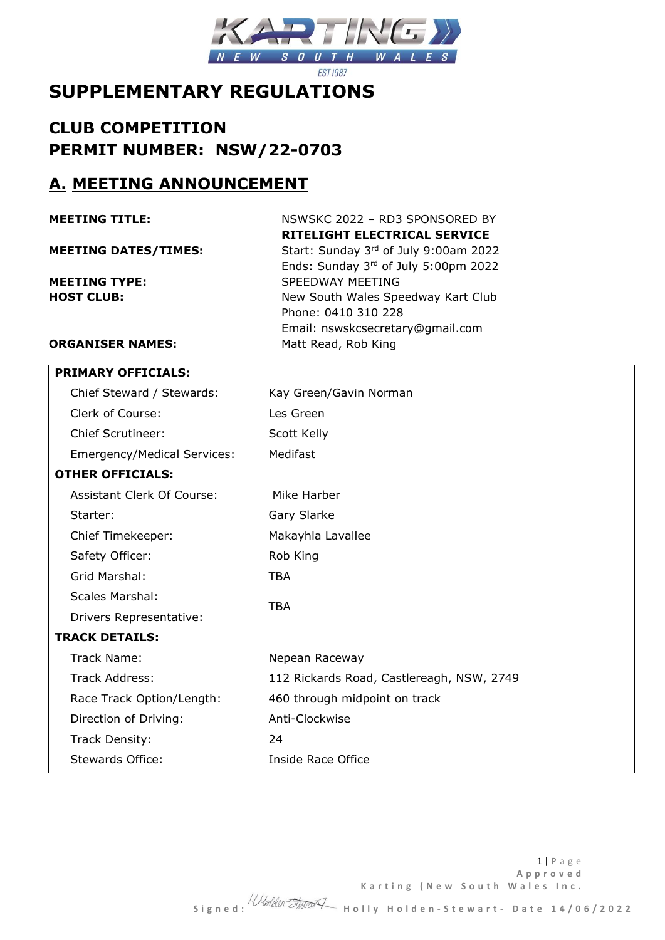

# **SUPPLEMENTARY REGULATIONS**

# **CLUB COMPETITION PERMIT NUMBER: NSW/22-0703**

## **A. MEETING ANNOUNCEMENT**

| <b>MEETING TITLE:</b>       | NSWSKC 2022 - RD3 SPONSORED BY        |
|-----------------------------|---------------------------------------|
|                             | RITELIGHT ELECTRICAL SERVICE          |
| <b>MEETING DATES/TIMES:</b> | Start: Sunday 3rd of July 9:00am 2022 |
|                             | Ends: Sunday 3rd of July 5:00pm 2022  |
| <b>MEETING TYPE:</b>        | SPEEDWAY MEETING                      |
| <b>HOST CLUB:</b>           | New South Wales Speedway Kart Club    |
|                             | Phone: 0410 310 228                   |
|                             | Email: nswskcsecretary@gmail.com      |
| <b>ORGANISER NAMES:</b>     | Matt Read, Rob King                   |
|                             |                                       |

| <b>PRIMARY OFFICIALS:</b>   |                                           |
|-----------------------------|-------------------------------------------|
| Chief Steward / Stewards:   | Kay Green/Gavin Norman                    |
| Clerk of Course:            | Les Green                                 |
| <b>Chief Scrutineer:</b>    | Scott Kelly                               |
| Emergency/Medical Services: | Medifast                                  |
| <b>OTHER OFFICIALS:</b>     |                                           |
| Assistant Clerk Of Course:  | Mike Harber                               |
| Starter:                    | Gary Slarke                               |
| Chief Timekeeper:           | Makayhla Lavallee                         |
| Safety Officer:             | Rob King                                  |
| Grid Marshal:               | <b>TBA</b>                                |
| <b>Scales Marshal:</b>      |                                           |
| Drivers Representative:     | <b>TBA</b>                                |
| <b>TRACK DETAILS:</b>       |                                           |
| Track Name:                 | Nepean Raceway                            |
| Track Address:              | 112 Rickards Road, Castlereagh, NSW, 2749 |
| Race Track Option/Length:   | 460 through midpoint on track             |
| Direction of Driving:       | Anti-Clockwise                            |
| Track Density:              | 24                                        |
| Stewards Office:            | Inside Race Office                        |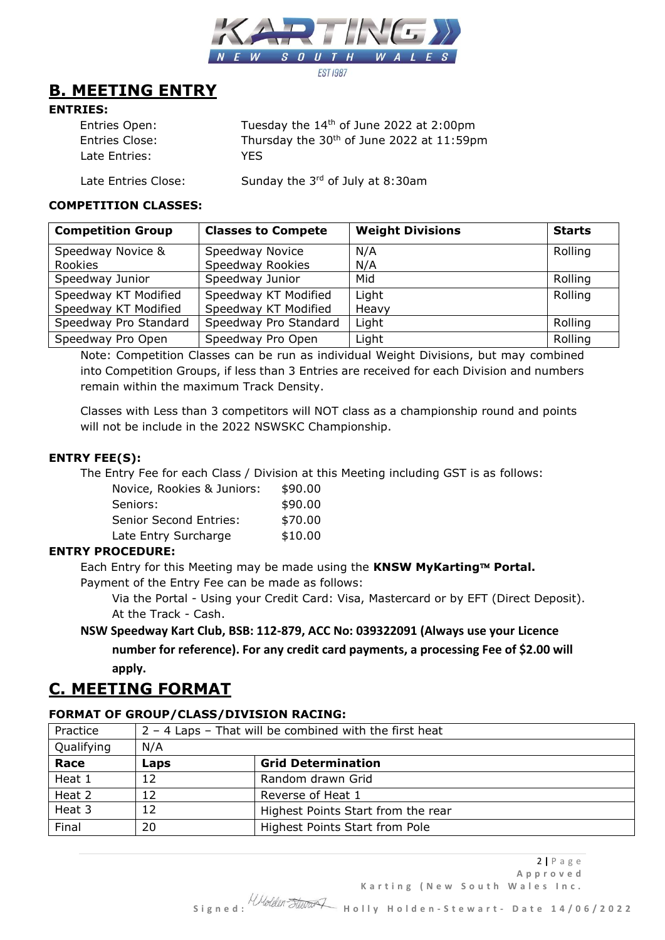

## **B. MEETING ENTRY**

## **ENTRIES:**

| Entries Open:         | Tuesday the $14th$ of June 2022 at 2:00pm             |
|-----------------------|-------------------------------------------------------|
| <b>Entries Close:</b> | Thursday the 30 <sup>th</sup> of June 2022 at 11:59pm |
| Late Entries:         | YES.                                                  |
|                       |                                                       |

Late Entries Close: Sunday the  $3<sup>rd</sup>$  of July at 8:30am

#### **COMPETITION CLASSES:**

| <b>Competition Group</b> | <b>Classes to Compete</b> | <b>Weight Divisions</b> | <b>Starts</b> |
|--------------------------|---------------------------|-------------------------|---------------|
| Speedway Novice &        | Speedway Novice           | N/A                     | Rolling       |
| Rookies                  | Speedway Rookies          | N/A                     |               |
| Speedway Junior          | Speedway Junior           | Mid                     | Rolling       |
| Speedway KT Modified     | Speedway KT Modified      | Light                   | Rolling       |
| Speedway KT Modified     | Speedway KT Modified      | Heavy                   |               |
| Speedway Pro Standard    | Speedway Pro Standard     | Light                   | Rolling       |
| Speedway Pro Open        | Speedway Pro Open         | Light                   | Rolling       |

Note: Competition Classes can be run as individual Weight Divisions, but may combined into Competition Groups, if less than 3 Entries are received for each Division and numbers remain within the maximum Track Density.

Classes with Less than 3 competitors will NOT class as a championship round and points will not be include in the 2022 NSWSKC Championship.

### **ENTRY FEE(S):**

The Entry Fee for each Class / Division at this Meeting including GST is as follows:

| Novice, Rookies & Juniors:    | \$90.00 |
|-------------------------------|---------|
| Seniors:                      | \$90.00 |
| <b>Senior Second Entries:</b> | \$70.00 |
| Late Entry Surcharge          | \$10.00 |

## **ENTRY PROCEDURE:**

Each Entry for this Meeting may be made using the KNSW MyKarting™ Portal. Payment of the Entry Fee can be made as follows:

Via the Portal - Using your Credit Card: Visa, Mastercard or by EFT (Direct Deposit). At the Track - Cash.

## **NSW Speedway Kart Club, BSB: 112-879, ACC No: 039322091 (Always use your Licence**

**number for reference). For any credit card payments, a processing Fee of \$2.00 will apply.**

## **C. MEETING FORMAT**

## **FORMAT OF GROUP/CLASS/DIVISION RACING:**

| Practice   | 2 - 4 Laps - That will be combined with the first heat |                                    |
|------------|--------------------------------------------------------|------------------------------------|
| Qualifying | N/A                                                    |                                    |
| Race       | Laps                                                   | <b>Grid Determination</b>          |
| Heat 1     | 12                                                     | Random drawn Grid                  |
| Heat 2     | 12                                                     | Reverse of Heat 1                  |
| Heat 3     | 12                                                     | Highest Points Start from the rear |
| Final      | 20                                                     | Highest Points Start from Pole     |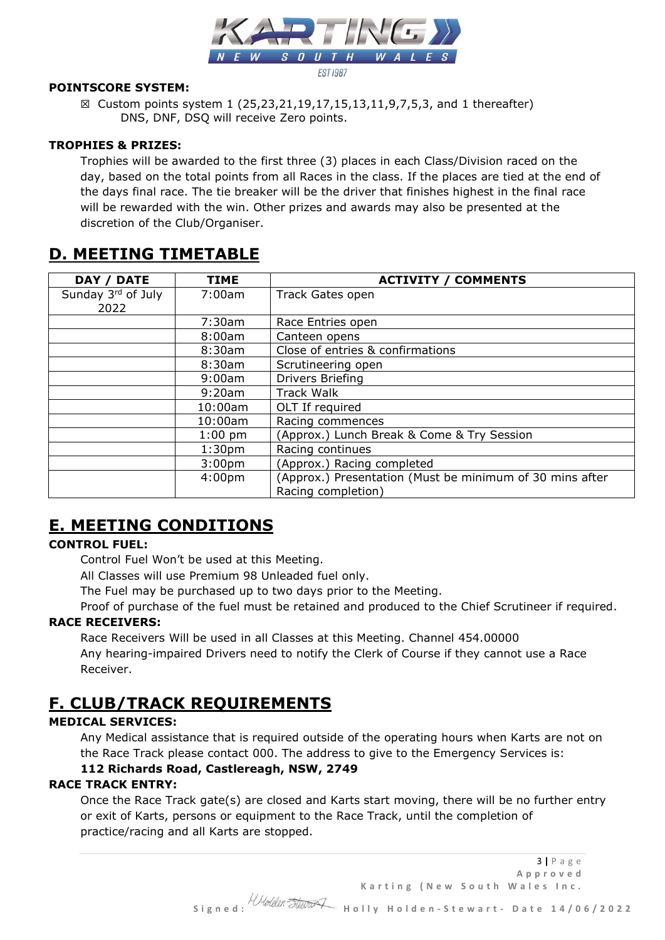

## **POINTSCORE SYSTEM:**

☒ Custom points system 1 (25,23,21,19,17,15,13,11,9,7,5,3, and 1 thereafter) DNS, DNF, DSQ will receive Zero points.

## **TROPHIES & PRIZES:**

Trophies will be awarded to the first three (3) places in each Class/Division raced on the day, based on the total points from all Races in the class. If the places are tied at the end of the days final race. The tie breaker will be the driver that finishes highest in the final race will be rewarded with the win. Other prizes and awards may also be presented at the discretion of the Club/Organiser.

## **D. MEETING TIMETABLE**

| <b>DATE</b><br>DAY / | <b>TIME</b>        | <b>ACTIVITY / COMMENTS</b>                               |
|----------------------|--------------------|----------------------------------------------------------|
| Sunday 3rd of July   | 7:00am             | Track Gates open                                         |
| 2022                 |                    |                                                          |
|                      | 7:30am             | Race Entries open                                        |
|                      | 8:00am             | Canteen opens                                            |
|                      | 8:30am             | Close of entries & confirmations                         |
|                      | 8:30am             | Scrutineering open                                       |
|                      | 9:00am             | Drivers Briefing                                         |
|                      | 9:20am             | Track Walk                                               |
|                      | 10:00am            | OLT If required                                          |
|                      | 10:00am            | Racing commences                                         |
|                      | $1:00$ pm          | (Approx.) Lunch Break & Come & Try Session               |
|                      | 1:30 <sub>pm</sub> | Racing continues                                         |
|                      | 3:00 <sub>pm</sub> | (Approx.) Racing completed                               |
|                      | 4:00 <sub>pm</sub> | (Approx.) Presentation (Must be minimum of 30 mins after |
|                      |                    | Racing completion)                                       |

## **E. MEETING CONDITIONS**

## **CONTROL FUEL:**

Control Fuel Won't be used at this Meeting.

All Classes will use Premium 98 Unleaded fuel only.

The Fuel may be purchased up to two days prior to the Meeting.

Proof of purchase of the fuel must be retained and produced to the Chief Scrutineer if required. **RACE RECEIVERS:**

Race Receivers Will be used in all Classes at this Meeting. Channel 454.00000 Any hearing-impaired Drivers need to notify the Clerk of Course if they cannot use a Race Receiver.

## **F. CLUB/TRACK REQUIREMENTS**

## **MEDICAL SERVICES:**

Any Medical assistance that is required outside of the operating hours when Karts are not on the Race Track please contact 000. The address to give to the Emergency Services is:

## **112 Richards Road, Castlereagh, NSW, 2749**

## **RACE TRACK ENTRY:**

Once the Race Track gate(s) are closed and Karts start moving, there will be no further entry or exit of Karts, persons or equipment to the Race Track, until the completion of practice/racing and all Karts are stopped.

3 **|** P a g e **A p p r o v e d**